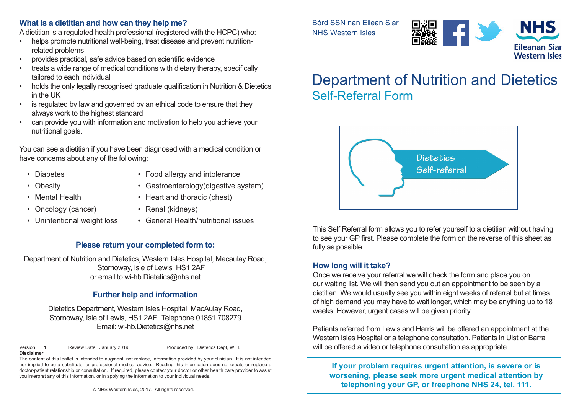#### **What is a dietitian and how can they help me?**

A dietitian is a regulated health professional (registered with the HCPC) who:

- helps promote nutritional well-being, treat disease and prevent nutritionrelated problems
- provides practical, safe advice based on scientific evidence
- treats a wide range of medical conditions with dietary therapy, specifically tailored to each individual
- holds the only legally recognised graduate qualification in Nutrition & Dietetics in the UK
- is regulated by law and governed by an ethical code to ensure that they always work to the highest standard
- can provide you with information and motivation to help you achieve your nutritional goals.

You can see a dietitian if you have been diagnosed with a medical condition or have concerns about any of the following:

- Diabetes
- Obesity
- Food allergy and intolerance
- Gastroenterology(digestive system)
- Oncology (cancer)

• Mental Health

- Heart and thoracic (chest)
- Renal (kidneys)
- Unintentional weight loss
- General Health/nutritional issues

## **Please return your completed form to:**

Department of Nutrition and Dietetics, Western Isles Hospital, Macaulay Road, Stornoway, Isle of Lewis HS1 2AF or email to wi-hb.Dietetics@nhs.net

## **Further help and information**

Dietetics Department, Western Isles Hospital, MacAulay Road, Stornoway, Isle of Lewis, HS1 2AF. Telephone 01851 708279 Email: wi-hb.Dietetics@nhs.net

Version: 1 Review Date: January 2019 Produced by: Dietetics Dept, WIH. **Disclaimer**

The content of this leaflet is intended to augment, not replace, information provided by your clinician. It is not intended nor implied to be a substitute for professional medical advice. Reading this information does not create or replace a doctor-patient relationship or consultation. If required, please contact your doctor or other health care provider to assist you interpret any of this information, or in applying the information to your individual needs.

Bòrd SSN nan Eilean Siar NHS Western Isles



# Department of Nutrition and Dietetics Self-Referral Form



This Self Referral form allows you to refer yourself to a dietitian without having to see your GP first. Please complete the form on the reverse of this sheet as fully as possible.

## **How long will it take?**

Once we receive your referral we will check the form and place you on our waiting list. We will then send you out an appointment to be seen by a dietitian. We would usually see you within eight weeks of referral but at times of high demand you may have to wait longer, which may be anything up to 18 weeks. However, urgent cases will be given priority.

Patients referred from Lewis and Harris will be offered an appointment at the Western Isles Hospital or a telephone consultation. Patients in Uist or Barra will be offered a video or telephone consultation as appropriate.

**If your problem requires urgent attention, is severe or is worsening, please seek more urgent medical attention by telephoning your GP, or freephone NHS 24, tel. 111.**